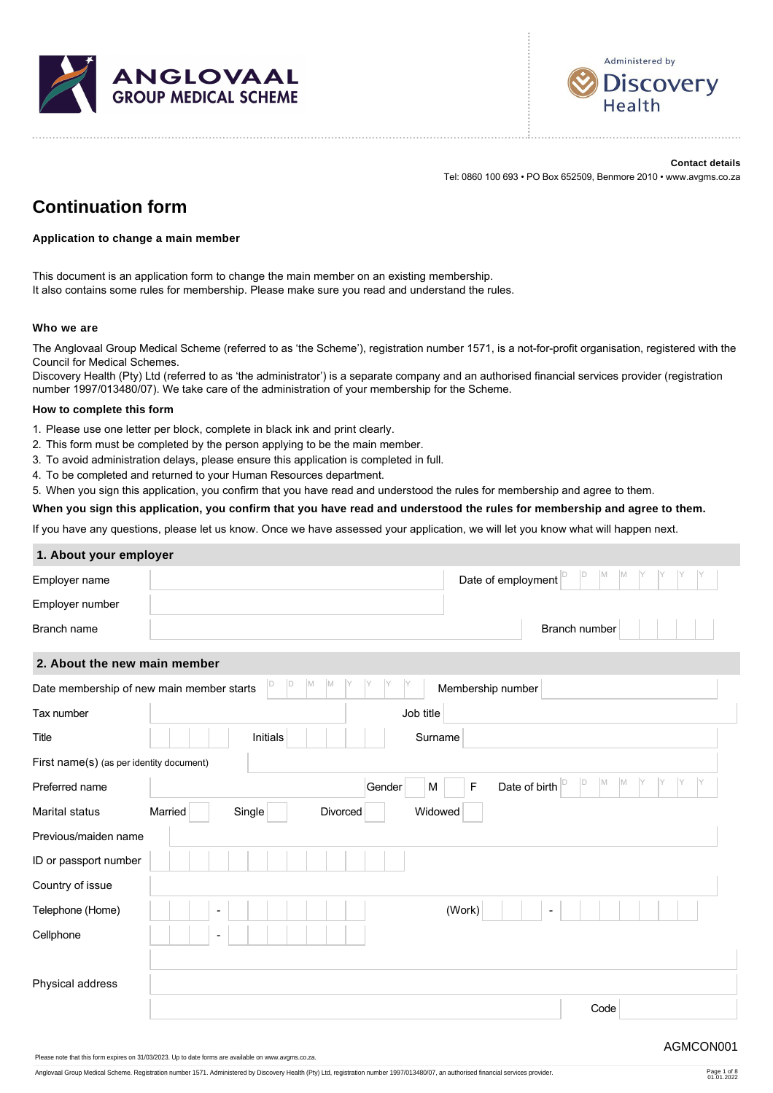



**Contact details** Tel: 0860 100 693 • PO Box 652509, Benmore 2010 • www.avgms.co.za

# **Continuation form**

#### **Application to change a main member**

This document is an application form to change the main member on an existing membership. It also contains some rules for membership. Please make sure you read and understand the rules.

#### **Who we are**

The Anglovaal Group Medical Scheme (referred to as 'the Scheme'), registration number 1571, is a not-for-profit organisation, registered with the Council for Medical Schemes.

Discovery Health (Pty) Ltd (referred to as 'the administrator') is a separate company and an authorised financial services provider (registration number 1997/013480/07). We take care of the administration of your membership for the Scheme.

#### **How to complete this form**

- 1. Please use one letter per block, complete in black ink and print clearly.
- 2. This form must be completed by the person applying to be the main member.
- 3. To avoid administration delays, please ensure this application is completed in full.
- 4. To be completed and returned to your Human Resources department.
- 5. When you sign this application, you confirm that you have read and understood the rules for membership and agree to them.

**When you sign this application, you confirm that you have read and understood the rules for membership and agree to them.**

If you have any questions, please let us know. Once we have assessed your application, we will let you know what will happen next.

#### **1. About your employer**

| D<br>Date of employment <sup>D</sup><br>M<br><b>M</b>                                |
|--------------------------------------------------------------------------------------|
|                                                                                      |
| Branch number                                                                        |
| 2. About the new main member                                                         |
| D<br> D <br>M<br>M<br>Membership number<br>Date membership of new main member starts |
| Job title                                                                            |
| Initials<br>Surname                                                                  |
| First name(s) (as per identity document)                                             |
| M<br>M<br>D<br>Date of birth $\vert$ <sup>D</sup><br>F<br>Gender<br>M                |
| Single<br>Widowed<br>Married<br>Divorced                                             |
|                                                                                      |
|                                                                                      |
|                                                                                      |
| (Work)<br>$\overline{\phantom{a}}$<br>$\blacksquare$                                 |
| $\overline{a}$                                                                       |
|                                                                                      |
|                                                                                      |
| Code                                                                                 |
|                                                                                      |

Anglovaal Group Medical Scheme. Registration number 1571. Administered by Discovery Health (Pty) Ltd, registration number 1997/013480/07, an authorised financial services provider.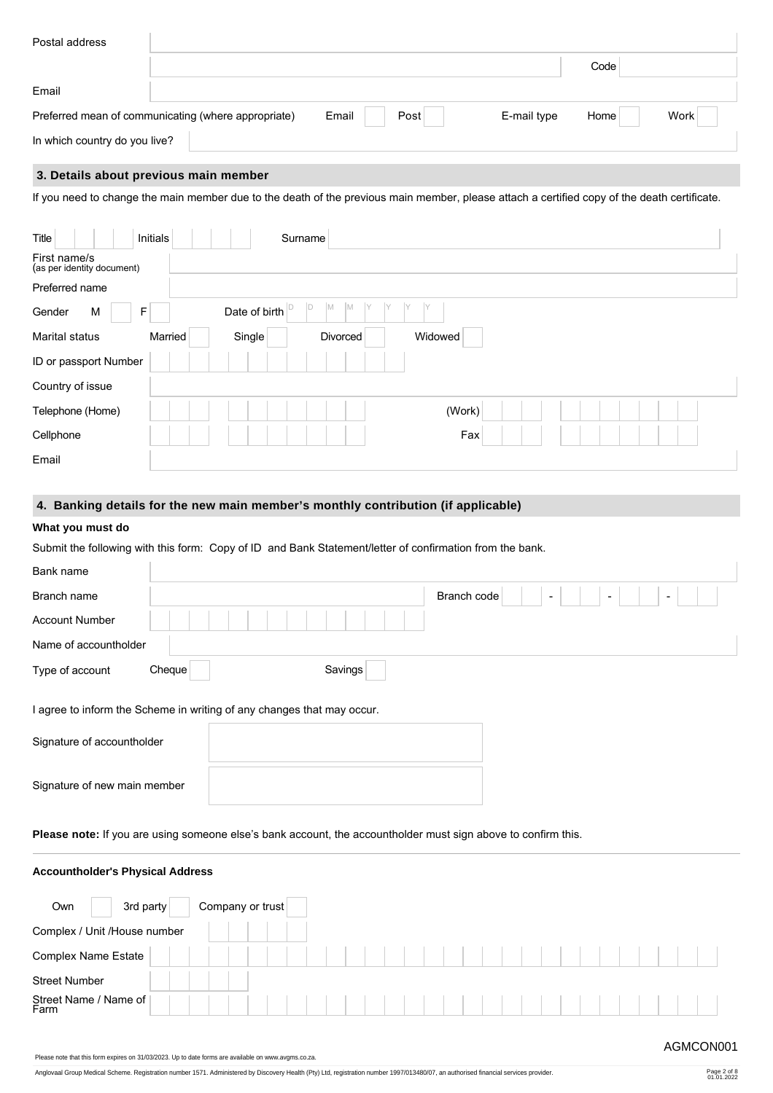| Postal address                |                                                     |               |             |              |  |
|-------------------------------|-----------------------------------------------------|---------------|-------------|--------------|--|
|                               |                                                     |               |             | Code         |  |
| Email                         |                                                     |               |             |              |  |
|                               | Preferred mean of communicating (where appropriate) | Post<br>Email | E-mail type | Work<br>Home |  |
| In which country do you live? |                                                     |               |             |              |  |

# **3. Details about previous main member**

If you need to change the main member due to the death of the previous main member, please attach a certified copy of the death certificate.

| Title                                      | Initials | Surname             |         |  |
|--------------------------------------------|----------|---------------------|---------|--|
| First name/s<br>(as per identity document) |          |                     |         |  |
| Preferred name                             |          |                     |         |  |
| Gender<br>M                                | F        | ΙM<br>Date of birth |         |  |
| Marital status                             | Married  | Single<br>Divorced  | Widowed |  |
| ID or passport Number                      |          |                     |         |  |
| Country of issue                           |          |                     |         |  |
| Telephone (Home)                           |          |                     | (Work)  |  |
| Cellphone                                  |          |                     | Fax     |  |
| Email                                      |          |                     |         |  |

# **4. Banking details for the new main member's monthly contribution (if applicable)**

# **What you must do**

Submit the following with this form: Copy of ID and Bank Statement/letter of confirmation from the bank.

| Bank name                    |                                                                        |             |                                                           |  |
|------------------------------|------------------------------------------------------------------------|-------------|-----------------------------------------------------------|--|
| Branch name                  |                                                                        | Branch code | $\overline{\phantom{a}}$<br>$\overline{\phantom{0}}$<br>- |  |
| <b>Account Number</b>        |                                                                        |             |                                                           |  |
| Name of accountholder        |                                                                        |             |                                                           |  |
| Type of account              | Cheque                                                                 | Savings     |                                                           |  |
|                              | I agree to inform the Scheme in writing of any changes that may occur. |             |                                                           |  |
| Signature of accountholder   |                                                                        |             |                                                           |  |
| Signature of new main member |                                                                        |             |                                                           |  |

Please note: If you are using someone else's bank account, the accountholder must sign above to confirm this.

# **Accountholder's Physical Address**

| 3rd party<br>Own             |  | Company or trust |  |  |  |  |  |  |  |  |  |  |  |  |
|------------------------------|--|------------------|--|--|--|--|--|--|--|--|--|--|--|--|
| Complex / Unit /House number |  |                  |  |  |  |  |  |  |  |  |  |  |  |  |
| Complex Name Estate          |  |                  |  |  |  |  |  |  |  |  |  |  |  |  |
| <b>Street Number</b>         |  |                  |  |  |  |  |  |  |  |  |  |  |  |  |
| Street Name / Name of        |  |                  |  |  |  |  |  |  |  |  |  |  |  |  |

Please note that this form expires on 31/03/2023. Up to date forms are available on www.avgms.co.za.

Anglovaal Group Medical Scheme. Registration number 1571. Administered by Discovery Health (Pty) Ltd, registration number 1997/013480/07, an authorised financial services provider. Page 2 of 8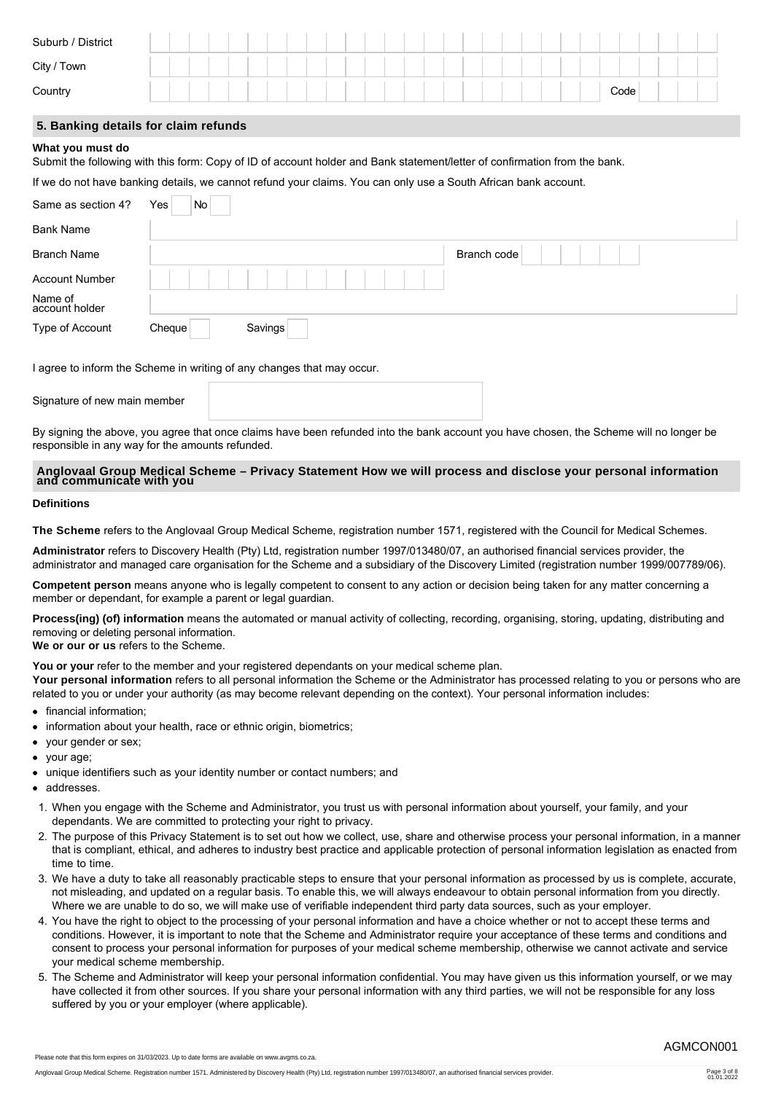| Suburb / District |  |  |  |  |  |  |                                                                                                                                                                                                                                      |  |  |  |  |  |      |  |  |
|-------------------|--|--|--|--|--|--|--------------------------------------------------------------------------------------------------------------------------------------------------------------------------------------------------------------------------------------|--|--|--|--|--|------|--|--|
| City / Town       |  |  |  |  |  |  | <b>The Contract of the Contract of the Contract of the Contract of the Contract of the Contract of the Contract of the Contract of the Contract of the Contract of the Contract of the Contract of the Contract of the Contract </b> |  |  |  |  |  |      |  |  |
| Country           |  |  |  |  |  |  |                                                                                                                                                                                                                                      |  |  |  |  |  | Code |  |  |
|                   |  |  |  |  |  |  |                                                                                                                                                                                                                                      |  |  |  |  |  |      |  |  |

# **5. Banking details for claim refunds**

#### **What you must do**

Submit the following with this form: Copy of ID of account holder and Bank statement/letter of confirmation from the bank.

If we do not have banking details, we cannot refund your claims. You can only use a South African bank account.

| Same as section 4?        | No<br>Yes |         |             |
|---------------------------|-----------|---------|-------------|
| <b>Bank Name</b>          |           |         |             |
| Branch Name               |           |         | Branch code |
| <b>Account Number</b>     |           |         |             |
| Name of<br>account holder |           |         |             |
| Type of Account           | Cheque    | Savings |             |

I agree to inform the Scheme in writing of any changes that may occur.

Signature of new main member

By signing the above, you agree that once claims have been refunded into the bank account you have chosen, the Scheme will no longer be responsible in any way for the amounts refunded.

# **Anglovaal Group Medical Scheme – Privacy Statement How we will process and disclose your personal information and communicate with you**

#### **Definitions**

**The Scheme** refers to the Anglovaal Group Medical Scheme, registration number 1571, registered with the Council for Medical Schemes.

**Administrator** refers to Discovery Health (Pty) Ltd, registration number 1997/013480/07, an authorised financial services provider, the administrator and managed care organisation for the Scheme and a subsidiary of the Discovery Limited (registration number 1999/007789/06).

**Competent person** means anyone who is legally competent to consent to any action or decision being taken for any matter concerning a member or dependant, for example a parent or legal guardian.

**Process(ing) (of) information** means the automated or manual activity of collecting, recording, organising, storing, updating, distributing and removing or deleting personal information.

**We or our or us** refers to the Scheme.

You or your refer to the member and your registered dependants on your medical scheme plan.

**Your personal information** refers to all personal information the Scheme or the Administrator has processed relating to you or persons who are related to you or under your authority (as may become relevant depending on the context). Your personal information includes:

- financial information;
- information about your health, race or ethnic origin, biometrics;
- your gender or sex;
- your age;
- unique identifiers such as your identity number or contact numbers; and
- addresses.
- 1. When you engage with the Scheme and Administrator, you trust us with personal information about yourself, your family, and your dependants. We are committed to protecting your right to privacy.
- 2. The purpose of this Privacy Statement is to set out how we collect, use, share and otherwise process your personal information, in a manner that is compliant, ethical, and adheres to industry best practice and applicable protection of personal information legislation as enacted from time to time.
- 3. We have a duty to take all reasonably practicable steps to ensure that your personal information as processed by us is complete, accurate, not misleading, and updated on a regular basis. To enable this, we will always endeavour to obtain personal information from you directly. Where we are unable to do so, we will make use of verifiable independent third party data sources, such as your employer.
- 4. You have the right to object to the processing of your personal information and have a choice whether or not to accept these terms and conditions. However, it is important to note that the Scheme and Administrator require your acceptance of these terms and conditions and consent to process your personal information for purposes of your medical scheme membership, otherwise we cannot activate and service your medical scheme membership.
- 5. The Scheme and Administrator will keep your personal information confidential. You may have given us this information yourself, or we may have collected it from other sources. If you share your personal information with any third parties, we will not be responsible for any loss suffered by you or your employer (where applicable).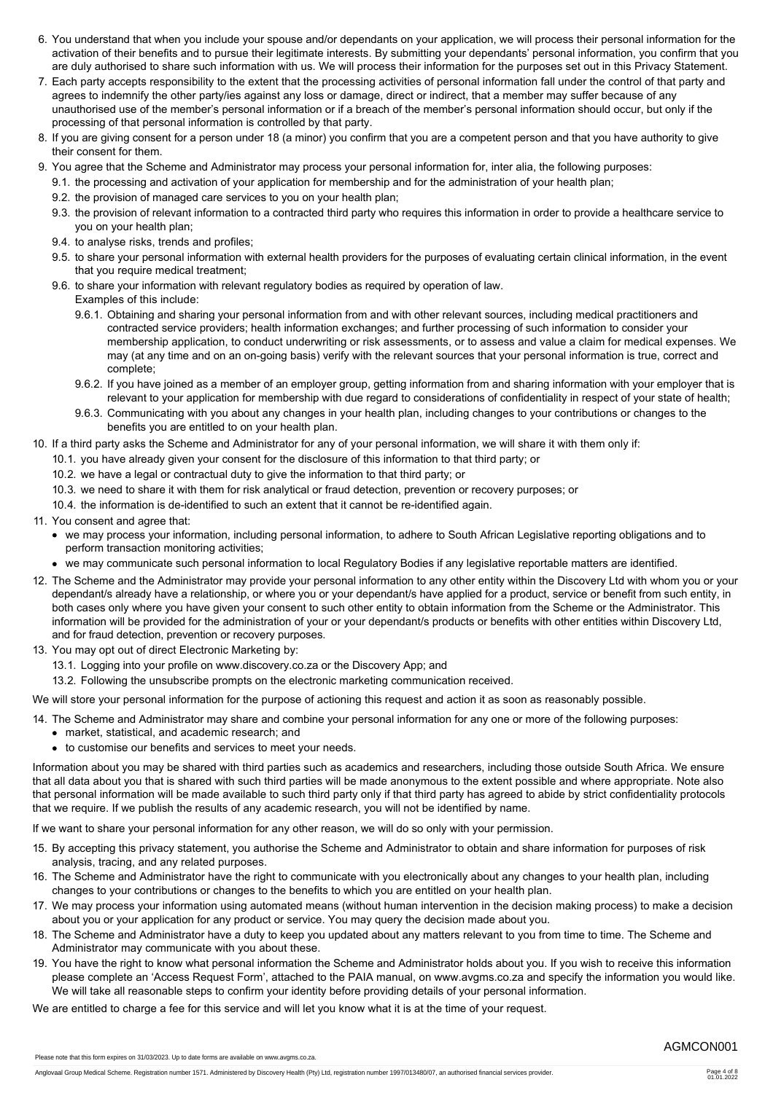- 6. You understand that when you include your spouse and/or dependants on your application, we will process their personal information for the activation of their benefits and to pursue their legitimate interests. By submitting your dependants' personal information, you confirm that you are duly authorised to share such information with us. We will process their information for the purposes set out in this Privacy Statement.
- 7. Each party accepts responsibility to the extent that the processing activities of personal information fall under the control of that party and agrees to indemnify the other party/ies against any loss or damage, direct or indirect, that a member may suffer because of any unauthorised use of the member's personal information or if a breach of the member's personal information should occur, but only if the processing of that personal information is controlled by that party.
- 8. If you are giving consent for a person under 18 (a minor) you confirm that you are a competent person and that you have authority to give their consent for them.
- 9. You agree that the Scheme and Administrator may process your personal information for, inter alia, the following purposes:
	- 9.1. the processing and activation of your application for membership and for the administration of your health plan;
	- 9.2. the provision of managed care services to you on your health plan;
	- 9.3. the provision of relevant information to a contracted third party who requires this information in order to provide a healthcare service to you on your health plan;
	- 9.4. to analyse risks, trends and profiles;
	- 9.5. to share your personal information with external health providers for the purposes of evaluating certain clinical information, in the event that you require medical treatment;
	- 9.6. to share your information with relevant regulatory bodies as required by operation of law. Examples of this include:
		- 9.6.1. Obtaining and sharing your personal information from and with other relevant sources, including medical practitioners and contracted service providers; health information exchanges; and further processing of such information to consider your membership application, to conduct underwriting or risk assessments, or to assess and value a claim for medical expenses. We may (at any time and on an on-going basis) verify with the relevant sources that your personal information is true, correct and complete;
		- 9.6.2. If you have joined as a member of an employer group, getting information from and sharing information with your employer that is relevant to your application for membership with due regard to considerations of confidentiality in respect of your state of health;
		- 9.6.3. Communicating with you about any changes in your health plan, including changes to your contributions or changes to the benefits you are entitled to on your health plan.
- 10. If a third party asks the Scheme and Administrator for any of your personal information, we will share it with them only if:
	- 10.1. you have already given your consent for the disclosure of this information to that third party; or
	- 10.2. we have a legal or contractual duty to give the information to that third party; or
	- 10.3. we need to share it with them for risk analytical or fraud detection, prevention or recovery purposes; or
	- 10.4. the information is de-identified to such an extent that it cannot be re-identified again.
- 11. You consent and agree that:
	- we may process your information, including personal information, to adhere to South African Legislative reporting obligations and to perform transaction monitoring activities;
	- we may communicate such personal information to local Regulatory Bodies if any legislative reportable matters are identified.
- 12. The Scheme and the Administrator may provide your personal information to any other entity within the Discovery Ltd with whom you or your dependant/s already have a relationship, or where you or your dependant/s have applied for a product, service or benefit from such entity, in both cases only where you have given your consent to such other entity to obtain information from the Scheme or the Administrator. This information will be provided for the administration of your or your dependant/s products or benefits with other entities within Discovery Ltd, and for fraud detection, prevention or recovery purposes.
- 13. You may opt out of direct Electronic Marketing by:
	- 13.1. Logging into your profile on www.discovery.co.za or the Discovery App; and
	- 13.2. Following the unsubscribe prompts on the electronic marketing communication received.
- We will store your personal information for the purpose of actioning this request and action it as soon as reasonably possible.

# 14. The Scheme and Administrator may share and combine your personal information for any one or more of the following purposes:

- market, statistical, and academic research; and
- to customise our benefits and services to meet your needs.

Information about you may be shared with third parties such as academics and researchers, including those outside South Africa. We ensure that all data about you that is shared with such third parties will be made anonymous to the extent possible and where appropriate. Note also that personal information will be made available to such third party only if that third party has agreed to abide by strict confidentiality protocols that we require. If we publish the results of any academic research, you will not be identified by name.

If we want to share your personal information for any other reason, we will do so only with your permission.

- 15. By accepting this privacy statement, you authorise the Scheme and Administrator to obtain and share information for purposes of risk analysis, tracing, and any related purposes.
- 16. The Scheme and Administrator have the right to communicate with you electronically about any changes to your health plan, including changes to your contributions or changes to the benefits to which you are entitled on your health plan.
- 17. We may process your information using automated means (without human intervention in the decision making process) to make a decision about you or your application for any product or service. You may query the decision made about you.
- 18. The Scheme and Administrator have a duty to keep you updated about any matters relevant to you from time to time. The Scheme and Administrator may communicate with you about these.
- 19. You have the right to know what personal information the Scheme and Administrator holds about you. If you wish to receive this information please complete an 'Access Request Form', attached to the PAIA manual, on www.avgms.co.za and specify the information you would like. We will take all reasonable steps to confirm your identity before providing details of your personal information.

We are entitled to charge a fee for this service and will let you know what it is at the time of your request.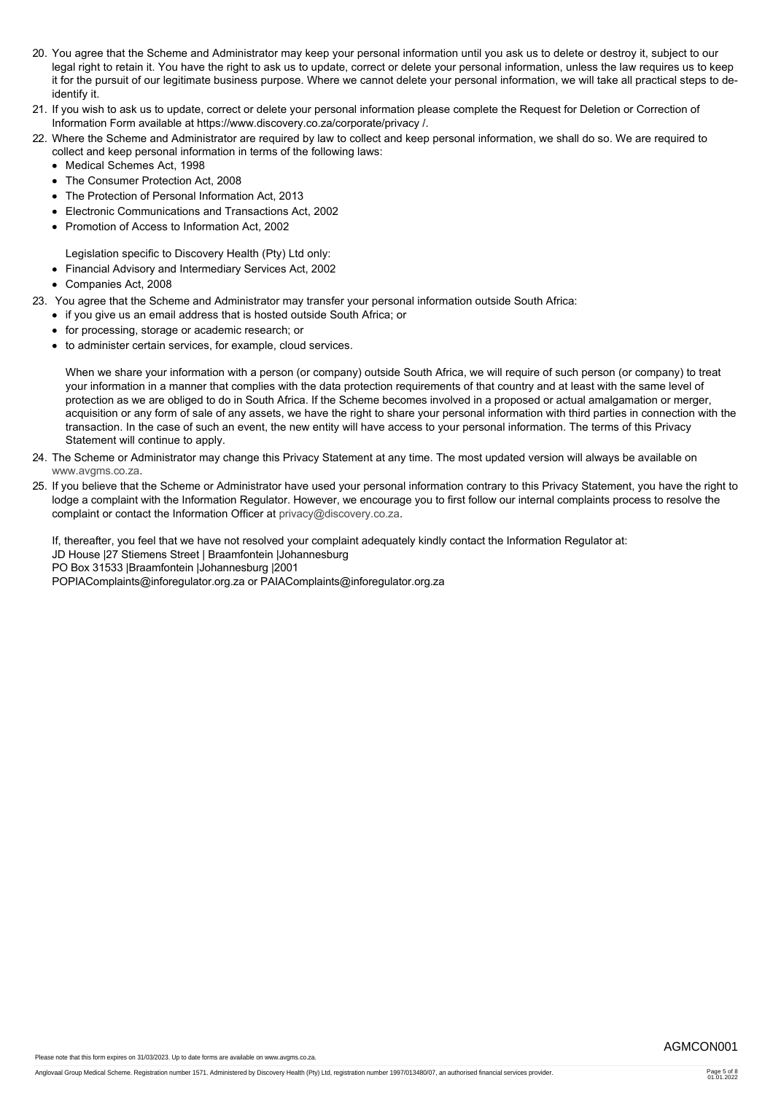- 20. You agree that the Scheme and Administrator may keep your personal information until you ask us to delete or destroy it, subject to our legal right to retain it. You have the right to ask us to update, correct or delete your personal information, unless the law requires us to keep it for the pursuit of our legitimate business purpose. Where we cannot delete your personal information, we will take all practical steps to deidentify it.
- 21. If you wish to ask us to update, correct or delete your personal information please complete the Request for Deletion or Correction of Information Form available at https://www.discovery.co.za/corporate/privacy /.
- 22. Where the Scheme and Administrator are required by law to collect and keep personal information, we shall do so. We are required to collect and keep personal information in terms of the following laws:
	- Medical Schemes Act, 1998
	- The Consumer Protection Act. 2008
	- The Protection of Personal Information Act, 2013
	- Electronic Communications and Transactions Act, 2002
	- Promotion of Access to Information Act, 2002

Legislation specific to Discovery Health (Pty) Ltd only:

- Financial Advisory and Intermediary Services Act, 2002
- Companies Act, 2008
- 23. You agree that the Scheme and Administrator may transfer your personal information outside South Africa:
	- if you give us an email address that is hosted outside South Africa; or
	- for processing, storage or academic research; or
	- to administer certain services, for example, cloud services.

When we share your information with a person (or company) outside South Africa, we will require of such person (or company) to treat your information in a manner that complies with the data protection requirements of that country and at least with the same level of protection as we are obliged to do in South Africa. If the Scheme becomes involved in a proposed or actual amalgamation or merger, acquisition or any form of sale of any assets, we have the right to share your personal information with third parties in connection with the transaction. In the case of such an event, the new entity will have access to your personal information. The terms of this Privacy Statement will continue to apply.

- 24. The Scheme or Administrator may change this Privacy Statement at any time. The most updated version will always be available on [www.avgms.co.za](http://www.avgms.co.za).
- 25. If you believe that the Scheme or Administrator have used your personal information contrary to this Privacy Statement, you have the right to lodge a complaint with the Information Regulator. However, we encourage you to first follow our internal complaints process to resolve the complaint or contact the Information Officer at [privacy@discovery.co.za.](mailto:privacy@discovery.co.za)

If, thereafter, you feel that we have not resolved your complaint adequately kindly contact the Information Regulator at:

- JD House |27 Stiemens Street | Braamfontein |Johannesburg
- PO Box 31533 |Braamfontein |Johannesburg |2001

POPIAComplaints@inforegulator.org.za or PAIAComplaints@inforegulator.org.za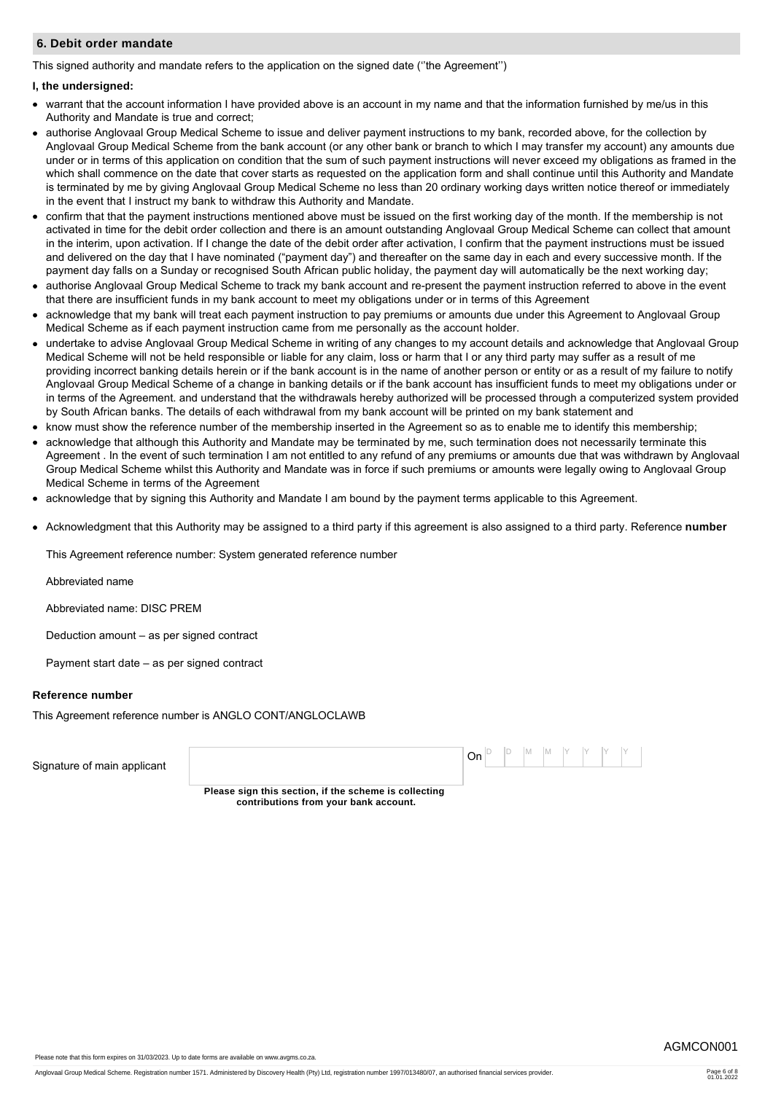#### **6. Debit order mandate**

This signed authority and mandate refers to the application on the signed date (''the Agreement'')

#### **I, the undersigned:**

- warrant that the account information I have provided above is an account in my name and that the information furnished by me/us in this Authority and Mandate is true and correct;
- authorise Anglovaal Group Medical Scheme to issue and deliver payment instructions to my bank, recorded above, for the collection by Anglovaal Group Medical Scheme from the bank account (or any other bank or branch to which I may transfer my account) any amounts due under or in terms of this application on condition that the sum of such payment instructions will never exceed my obligations as framed in the which shall commence on the date that cover starts as requested on the application form and shall continue until this Authority and Mandate is terminated by me by giving Anglovaal Group Medical Scheme no less than 20 ordinary working days written notice thereof or immediately in the event that I instruct my bank to withdraw this Authority and Mandate.
- confirm that that the payment instructions mentioned above must be issued on the first working day of the month. If the membership is not activated in time for the debit order collection and there is an amount outstanding Anglovaal Group Medical Scheme can collect that amount in the interim, upon activation. If I change the date of the debit order after activation, I confirm that the payment instructions must be issued and delivered on the day that I have nominated ("payment day") and thereafter on the same day in each and every successive month. If the payment day falls on a Sunday or recognised South African public holiday, the payment day will automatically be the next working day;
- authorise Anglovaal Group Medical Scheme to track my bank account and re-present the payment instruction referred to above in the event that there are insufficient funds in my bank account to meet my obligations under or in terms of this Agreement
- acknowledge that my bank will treat each payment instruction to pay premiums or amounts due under this Agreement to Anglovaal Group Medical Scheme as if each payment instruction came from me personally as the account holder.
- undertake to advise Anglovaal Group Medical Scheme in writing of any changes to my account details and acknowledge that Anglovaal Group Medical Scheme will not be held responsible or liable for any claim, loss or harm that I or any third party may suffer as a result of me providing incorrect banking details herein or if the bank account is in the name of another person or entity or as a result of my failure to notify Anglovaal Group Medical Scheme of a change in banking details or if the bank account has insufficient funds to meet my obligations under or in terms of the Agreement. and understand that the withdrawals hereby authorized will be processed through a computerized system provided by South African banks. The details of each withdrawal from my bank account will be printed on my bank statement and
- know must show the reference number of the membership inserted in the Agreement so as to enable me to identify this membership;
- acknowledge that although this Authority and Mandate may be terminated by me, such termination does not necessarily terminate this Agreement . In the event of such termination I am not entitled to any refund of any premiums or amounts due that was withdrawn by Anglovaal Group Medical Scheme whilst this Authority and Mandate was in force if such premiums or amounts were legally owing to Anglovaal Group Medical Scheme in terms of the Agreement
- acknowledge that by signing this Authority and Mandate I am bound by the payment terms applicable to this Agreement.
- Acknowledgment that this Authority may be assigned to a third party if this agreement is also assigned to a third party. Reference **number**

This Agreement reference number: System generated reference number

Abbreviated name

Abbreviated name: DISC PREM

Deduction amount – as per signed contract

Payment start date – as per signed contract

#### **Reference number**

This Agreement reference number is ANGLO CONT/ANGLOCLAWB

| Signature of main applicant |                                                                                                | $ On ^{D}$ $ ^{D}$ $ M$ $ M$ $ ^{Y}$ $ ^{Y}$ $ ^{Y}$ $ ^{Y}$ |  |  |  |  |  |
|-----------------------------|------------------------------------------------------------------------------------------------|--------------------------------------------------------------|--|--|--|--|--|
|                             | Please sign this section, if the scheme is collecting<br>contributions from your bank account. |                                                              |  |  |  |  |  |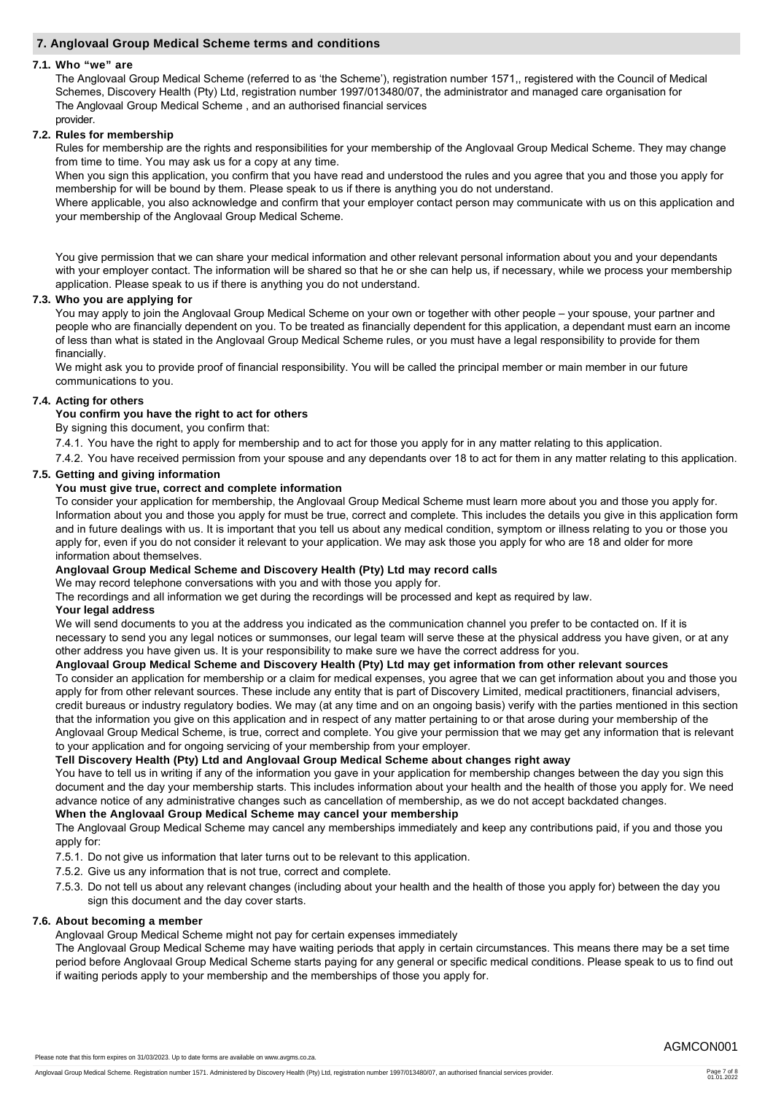### **7. Anglovaal Group Medical Scheme terms and conditions**

#### **7.1. Who "we" are**

The Anglovaal Group Medical Scheme (referred to as 'the Scheme'), registration number 1571,, registered with the Council of Medical Schemes, Discovery Health (Pty) Ltd, registration number 1997/013480/07, the administrator and managed care organisation for The Anglovaal Group Medical Scheme , and an authorised financial services provider.

## **7.2. Rules for membership**

Rules for membership are the rights and responsibilities for your membership of the Anglovaal Group Medical Scheme. They may change from time to time. You may ask us for a copy at any time.

When you sign this application, you confirm that you have read and understood the rules and you agree that you and those you apply for membership for will be bound by them. Please speak to us if there is anything you do not understand.

Where applicable, you also acknowledge and confirm that your employer contact person may communicate with us on this application and your membership of the Anglovaal Group Medical Scheme.

You give permission that we can share your medical information and other relevant personal information about you and your dependants with your employer contact. The information will be shared so that he or she can help us, if necessary, while we process your membership application. Please speak to us if there is anything you do not understand.

### **7.3. Who you are applying for**

You may apply to join the Anglovaal Group Medical Scheme on your own or together with other people – your spouse, your partner and people who are financially dependent on you. To be treated as financially dependent for this application, a dependant must earn an income of less than what is stated in the Anglovaal Group Medical Scheme rules, or you must have a legal responsibility to provide for them financially.

We might ask you to provide proof of financial responsibility. You will be called the principal member or main member in our future communications to you.

### **7.4. Acting for others**

### **You confirm you have the right to act for others**

By signing this document, you confirm that:

7.4.1. You have the right to apply for membership and to act for those you apply for in any matter relating to this application.

7.4.2. You have received permission from your spouse and any dependants over 18 to act for them in any matter relating to this application.

# **7.5. Getting and giving information**

### **You must give true, correct and complete information**

To consider your application for membership, the Anglovaal Group Medical Scheme must learn more about you and those you apply for. Information about you and those you apply for must be true, correct and complete. This includes the details you give in this application form and in future dealings with us. It is important that you tell us about any medical condition, symptom or illness relating to you or those you apply for, even if you do not consider it relevant to your application. We may ask those you apply for who are 18 and older for more information about themselves.

#### **Anglovaal Group Medical Scheme and Discovery Health (Pty) Ltd may record calls**

We may record telephone conversations with you and with those you apply for.

The recordings and all information we get during the recordings will be processed and kept as required by law.

#### **Your legal address**

We will send documents to you at the address you indicated as the communication channel you prefer to be contacted on. If it is necessary to send you any legal notices or summonses, our legal team will serve these at the physical address you have given, or at any other address you have given us. It is your responsibility to make sure we have the correct address for you.

#### **Anglovaal Group Medical Scheme and Discovery Health (Pty) Ltd may get information from other relevant sources**

To consider an application for membership or a claim for medical expenses, you agree that we can get information about you and those you apply for from other relevant sources. These include any entity that is part of Discovery Limited, medical practitioners, financial advisers, credit bureaus or industry regulatory bodies. We may (at any time and on an ongoing basis) verify with the parties mentioned in this section that the information you give on this application and in respect of any matter pertaining to or that arose during your membership of the Anglovaal Group Medical Scheme, is true, correct and complete. You give your permission that we may get any information that is relevant to your application and for ongoing servicing of your membership from your employer.

#### **Tell Discovery Health (Pty) Ltd and Anglovaal Group Medical Scheme about changes right away**

You have to tell us in writing if any of the information you gave in your application for membership changes between the day you sign this document and the day your membership starts. This includes information about your health and the health of those you apply for. We need advance notice of any administrative changes such as cancellation of membership, as we do not accept backdated changes.

#### **When the Anglovaal Group Medical Scheme may cancel your membership**

The Anglovaal Group Medical Scheme may cancel any memberships immediately and keep any contributions paid, if you and those you apply for:

- 7.5.1. Do not give us information that later turns out to be relevant to this application.
- 7.5.2. Give us any information that is not true, correct and complete.
- 7.5.3. Do not tell us about any relevant changes (including about your health and the health of those you apply for) between the day you sign this document and the day cover starts.

#### **7.6. About becoming a member**

Anglovaal Group Medical Scheme might not pay for certain expenses immediately

The Anglovaal Group Medical Scheme may have waiting periods that apply in certain circumstances. This means there may be a set time period before Anglovaal Group Medical Scheme starts paying for any general or specific medical conditions. Please speak to us to find out if waiting periods apply to your membership and the memberships of those you apply for.